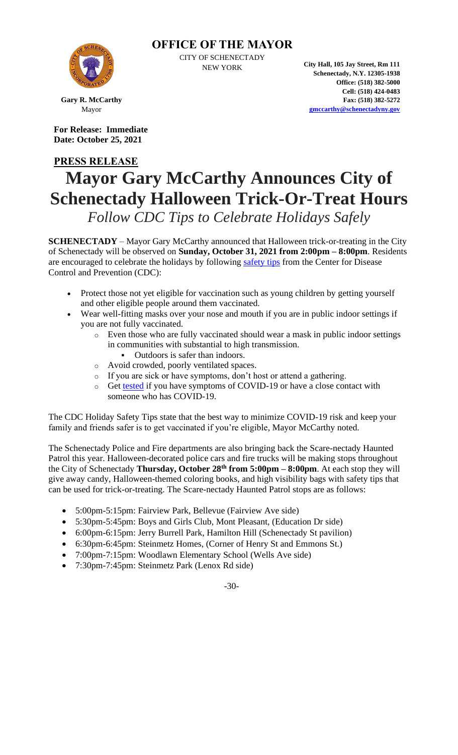

**OFFICE OF THE MAYOR**

CITY OF SCHENECTADY

NEW YORK **City Hall, 105 Jay Street, Rm 111 Schenectady, N.Y. 12305-1938 Office: (518) 382-5000 Cell: (518) 424-0483 Fax: (518) 382-5272 [gmccarthy@schenectadyny.gov](mailto:gmccarthy@schenectadyny.gov)**

**Gary R. McCarthy** Mayor

**For Release: Immediate Date: October 25, 2021**

## **PRESS RELEASE Mayor Gary McCarthy Announces City of Schenectady Halloween Trick-Or-Treat Hours**

*Follow CDC Tips to Celebrate Holidays Safely*

**SCHENECTADY** – Mayor Gary McCarthy announced that Halloween trick-or-treating in the City of Schenectady will be observed on **Sunday, October 31, 2021 from 2:00pm – 8:00pm**. Residents are encouraged to celebrate the holidays by following [safety tips](https://www.cdc.gov/coronavirus/2019-ncov/daily-life-coping/holidays/celebrations.html) from the Center for Disease Control and Prevention (CDC):

- Protect those not yet eligible for vaccination such as young children by getting yourself and other eligible people around them vaccinated.
- Wear well-fitting masks over your nose and mouth if you are in public indoor settings if you are not fully vaccinated.
	- o Even those who are fully vaccinated should wear a mask in public indoor settings in communities with substantial to high transmission.
		- Outdoors is safer than indoors.
	- o Avoid crowded, poorly ventilated spaces.
	- o If you are sick or have symptoms, don't host or attend a gathering.
	- o Get [tested](https://www.cdc.gov/coronavirus/2019-ncov/testing/index.html) if you have symptoms of COVID-19 or have a close contact with someone who has COVID-19.

The CDC Holiday Safety Tips state that the best way to minimize COVID-19 risk and keep your family and friends safer is to get vaccinated if you're eligible, Mayor McCarthy noted.

The Schenectady Police and Fire departments are also bringing back the Scare-nectady Haunted Patrol this year. Halloween-decorated police cars and fire trucks will be making stops throughout the City of Schenectady **Thursday, October 28th from 5:00pm – 8:00pm**. At each stop they will give away candy, Halloween-themed coloring books, and high visibility bags with safety tips that can be used for trick-or-treating. The Scare-nectady Haunted Patrol stops are as follows:

- 5:00pm-5:15pm: Fairview Park, Bellevue (Fairview Ave side)
- 5:30pm-5:45pm: Boys and Girls Club, Mont Pleasant, (Education Dr side)
- 6:00pm-6:15pm: Jerry Burrell Park, Hamilton Hill (Schenectady St pavilion)
- 6:30pm-6:45pm: Steinmetz Homes, (Corner of Henry St and Emmons St.)
- 7:00pm-7:15pm: Woodlawn Elementary School (Wells Ave side)
- 7:30pm-7:45pm: Steinmetz Park (Lenox Rd side)